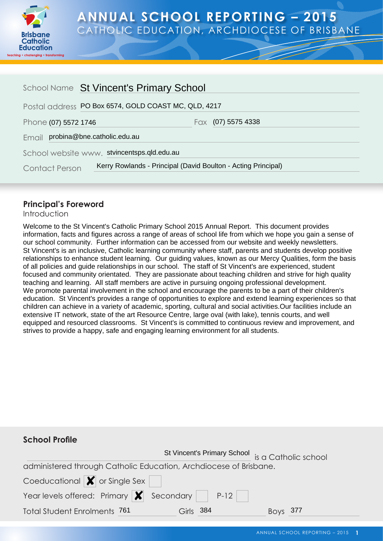

# **ANNUAL SCHOOL REPORTING – 2015** CATHOLIC EDUCATION, ARCHDIOCESE OF BRISBANE

| School Name St Vincent's Primary School                                                |  |                    |
|----------------------------------------------------------------------------------------|--|--------------------|
| Postal address PO Box 6574, GOLD COAST MC, QLD, 4217                                   |  |                    |
| Phone (07) 5572 1746                                                                   |  | Fax (07) 5575 4338 |
| Email probina@bne.catholic.edu.au                                                      |  |                    |
| School website www. stvincentsps.qld.edu.au                                            |  |                    |
| Kerry Rowlands - Principal (David Boulton - Acting Principal)<br><b>Contact Person</b> |  |                    |

## **Principal's Foreword**

Introduction

Welcome to the St Vincent's Catholic Primary School 2015 Annual Report. This document provides information, facts and figures across a range of areas of school life from which we hope you gain a sense of our school community. Further information can be accessed from our website and weekly newsletters. St Vincent's is an inclusive, Catholic learning community where staff, parents and students develop positive relationships to enhance student learning. Our guiding values, known as our Mercy Qualities, form the basis of all policies and guide relationships in our school. The staff of St Vincent's are experienced, student focused and community orientated. They are passionate about teaching children and strive for high quality teaching and learning. All staff members are active in pursuing ongoing professional development. We promote parental involvement in the school and encourage the parents to be a part of their children's education. St Vincent's provides a range of opportunities to explore and extend learning experiences so that children can achieve in a variety of academic, sporting, cultural and social activities.Our facilities include an extensive IT network, state of the art Resource Centre, large oval (with lake), tennis courts, and well equipped and resourced classrooms. St Vincent's is committed to continuous review and improvement, and strives to provide a happy, safe and engaging learning environment for all students.

# **School Profile**

|                                                                             |           | St Vincent's Primary School is a Catholic school |  |
|-----------------------------------------------------------------------------|-----------|--------------------------------------------------|--|
| administered through Catholic Education, Archdiocese of Brisbane.           |           |                                                  |  |
| Coeducational $\vert \blacktriangleright \vert$ or Single Sex               |           |                                                  |  |
| Year levels offered: Primary $\vert \bm{\mathsf{X}} \vert$ Secondary   P-12 |           |                                                  |  |
| <b>Total Student Enrolments 761</b>                                         | Girls 384 | Boys $377$                                       |  |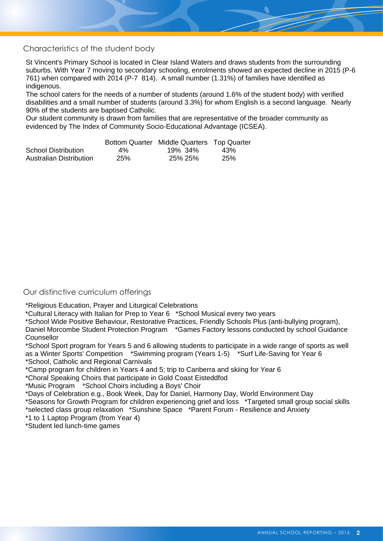Characteristics of the student body

St Vincent's Primary School is located in Clear Island Waters and draws students from the surrounding suburbs. With Year 7 moving to secondary schooling, enrolments showed an expected decline in 2015 (P-6 761) when compared with 2014 (P-7 814). A small number (1.31%) of families have identified as indigenous.

The school caters for the needs of a number of students (around 1.6% of the student body) with verified disabilities and a small number of students (around 3.3%) for whom English is a second language. Nearly 90% of the students are baptised Catholic.

Our student community is drawn from families that are representative of the broader community as evidenced by The Index of Community Socio-Educational Advantage (ICSEA).

|                         |     | Bottom Quarter Middle Quarters Top Quarter |     |
|-------------------------|-----|--------------------------------------------|-----|
| School Distribution     | 4%  | 19% 34%                                    | 43% |
| Australian Distribution | 25% | 25% 25%                                    | 25% |

#### Our distinctive curriculum offerings

\*Religious Education, Prayer and Liturgical Celebrations

\*Cultural Literacy with Italian for Prep to Year 6 \*School Musical every two years

\*School Wide Positive Behaviour, Restorative Practices, Friendly Schools Plus (anti-bullying program),

Daniel Morcombe Student Protection Program \*Games Factory lessons conducted by school Guidance Counsellor

\*School Sport program for Years 5 and 6 allowing students to participate in a wide range of sports as well as a Winter Sports' Competition \*Swimming program (Years 1-5) \*Surf Life-Saving for Year 6 \*School, Catholic and Regional Carnivals

\*Camp program for children in Years 4 and 5; trip to Canberra and skiing for Year 6

\*Choral Speaking Choirs that participate in Gold Coast Eisteddfod

\*Music Program \*School Choirs including a Boys' Choir

\*Days of Celebration e.g., Book Week, Day for Daniel, Harmony Day, World Environment Day

\*Seasons for Growth Program for children experiencing grief and loss \*Targeted small group social skills \*selected class group relaxation \*Sunshine Space \*Parent Forum - Resilience and Anxiety

\*1 to 1 Laptop Program (from Year 4)

\*Student led lunch-time games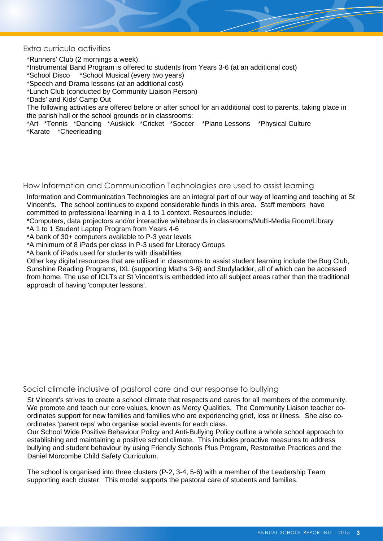Extra curricula activities

\*Runners' Club (2 mornings a week).

\*Instrumental Band Program is offered to students from Years 3-6 (at an additional cost)

\*School Disco \*School Musical (every two years)

\*Speech and Drama lessons (at an additional cost)

\*Lunch Club (conducted by Community Liaison Person)

\*Dads' and Kids' Camp Out

The following activities are offered before or after school for an additional cost to parents, taking place in the parish hall or the school grounds or in classrooms:

\*Art \*Tennis \*Dancing \*Auskick \*Cricket \*Soccer \*Piano Lessons \*Physical Culture \*Karate \*Cheerleading

How Information and Communication Technologies are used to assist learning

Information and Communication Technologies are an integral part of our way of learning and teaching at St Vincent's. The school continues to expend considerable funds in this area. Staff members have committed to professional learning in a 1 to 1 context. Resources include:

\*Computers, data projectors and/or interactive whiteboards in classrooms/Multi-Media Room/Library

\*A 1 to 1 Student Laptop Program from Years 4-6

\*A bank of 30+ computers available to P-3 year levels

\*A minimum of 8 iPads per class in P-3 used for Literacy Groups

\*A bank of iPads used for students with disabilities

Other key digital resources that are utilised in classrooms to assist student learning include the Bug Club, Sunshine Reading Programs, IXL (supporting Maths 3-6) and Studyladder, all of which can be accessed from home. The use of ICLTs at St Vincent's is embedded into all subject areas rather than the traditional approach of having 'computer lessons'.

Social climate inclusive of pastoral care and our response to bullying

St Vincent's strives to create a school climate that respects and cares for all members of the community. We promote and teach our core values, known as Mercy Qualities. The Community Liaison teacher coordinates support for new families and families who are experiencing grief, loss or illness. She also coordinates 'parent reps' who organise social events for each class.

Our School Wide Positive Behaviour Policy and Anti-Bullying Policy outline a whole school approach to establishing and maintaining a positive school climate. This includes proactive measures to address bullying and student behaviour by using Friendly Schools Plus Program, Restorative Practices and the Daniel Morcombe Child Safety Curriculum.

The school is organised into three clusters (P-2, 3-4, 5-6) with a member of the Leadership Team supporting each cluster. This model supports the pastoral care of students and families.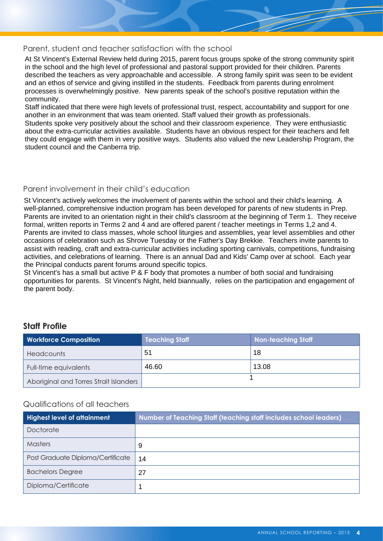#### Parent, student and teacher satisfaction with the school

At St Vincent's External Review held during 2015, parent focus groups spoke of the strong community spirit in the school and the high level of professional and pastoral support provided for their children. Parents described the teachers as very approachable and accessible. A strong family spirit was seen to be evident and an ethos of service and giving instilled in the students. Feedback from parents during enrolment processes is overwhelmingly positive. New parents speak of the school's positive reputation within the community.

Staff indicated that there were high levels of professional trust, respect, accountability and support for one another in an environment that was team oriented. Staff valued their growth as professionals.

Students spoke very positively about the school and their classroom experience. They were enthusiastic about the extra-curricular activities available. Students have an obvious respect for their teachers and felt they could engage with them in very positive ways. Students also valued the new Leadership Program, the student council and the Canberra trip.

#### Parent involvement in their child's education

St Vincent's actively welcomes the involvement of parents within the school and their child's learning. A well-planned, comprehensive induction program has been developed for parents of new students in Prep. Parents are invited to an orientation night in their child's classroom at the beginning of Term 1. They receive formal, written reports in Terms 2 and 4 and are offered parent / teacher meetings in Terms 1,2 and 4. Parents are invited to class masses, whole school liturgies and assemblies, year level assemblies and other occasions of celebration such as Shrove Tuesday or the Father's Day Brekkie. Teachers invite parents to assist with reading, craft and extra-curricular activities including sporting carnivals, competitions, fundraising activities, and celebrations of learning. There is an annual Dad and Kids' Camp over at school. Each year the Principal conducts parent forums around specific topics.

St Vincent's has a small but active P & F body that promotes a number of both social and fundraising opportunities for parents. St Vincent's Night, held biannually, relies on the participation and engagement of the parent body.

#### **Staff Profile**

| <b>Workforce Composition</b>           | <b>Teaching Staff</b> | <b>Non-teaching Staff</b> |
|----------------------------------------|-----------------------|---------------------------|
| <b>Headcounts</b>                      | 51                    | 18                        |
| Full-time equivalents                  | 46.60                 | 13.08                     |
| Aboriginal and Torres Strait Islanders |                       |                           |

#### Qualifications of all teachers

| <b>Highest level of attainment</b> | Number of Teaching Staff (teaching staff includes school leaders) |
|------------------------------------|-------------------------------------------------------------------|
| Doctorate                          |                                                                   |
| <b>Masters</b>                     | 9                                                                 |
| Post Graduate Diploma/Certificate  | 14                                                                |
| <b>Bachelors Degree</b>            | 27                                                                |
| Diploma/Certificate                |                                                                   |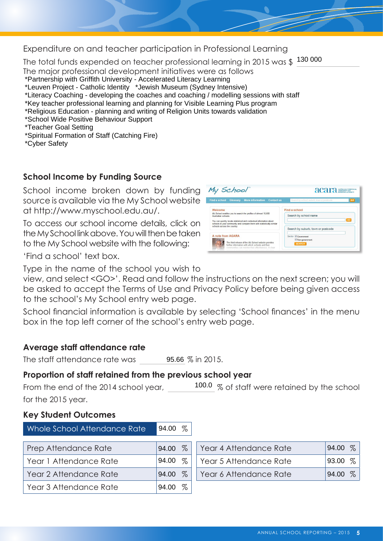Expenditure on and teacher participation in Professional Learning

The total funds expended on teacher professional learning in 2015 was \$ $\,\frac{130\,000}{\,}$ The major professional development initiatives were as follows

- \*Partnership with Griffith University Accelerated Literacy Learning
- \*Leuven Project Catholic Identity \*Jewish Museum (Sydney Intensive)
- \*Literacy Coaching developing the coaches and coaching / modelling sessions with staff
- \*Key teacher professional learning and planning for Visible Learning Plus program
- \*Religious Education planning and writing of Religion Units towards validation
- \*School Wide Positive Behaviour Support

\*Teacher Goal Setting

- \*Spiritual Formation of Staff (Catching Fire)
- \*Cyber Safety

# **School Income by Funding Source**

School income broken down by funding source is available via the My School website at [http://www.myschool.edu.au/.](http://www.myschool.edu.au/)

To access our school income details, click on the My School link above. You will then be taken to the My School website with the following:



'Find a school' text box.

Type in the name of the school you wish to

view, and select <GO>'. Read and follow the instructions on the next screen; you will be asked to accept the Terms of Use and Privacy Policy before being given access to the school's My School entry web page.

School financial information is available by selecting 'School finances' in the menu box in the top left corner of the school's entry web page.

## **Average staff attendance rate**

The staff attendance rate was 95.66 % in 2015.

## **Proportion of staff retained from the previous school year**

From the end of the 2014 school year,  $\frac{100.0}{\%}$  of staff were retained by the school for the 2015 year.

## **Key Student Outcomes**

| Whole School Attendance Rate | 94.00 $%$     |                        |               |
|------------------------------|---------------|------------------------|---------------|
| Prep Attendance Rate         | $\%$<br>94.00 | Year 4 Attendance Rate | $\%$<br>94.00 |
| Year 1 Attendance Rate       | $\%$<br>94.00 | Year 5 Attendance Rate | $\%$<br>93.00 |
| Year 2 Attendance Rate       | $\%$<br>94.00 | Year 6 Attendance Rate | $\%$<br>94.00 |
| Year 3 Attendance Rate       | %<br>94.00    |                        |               |